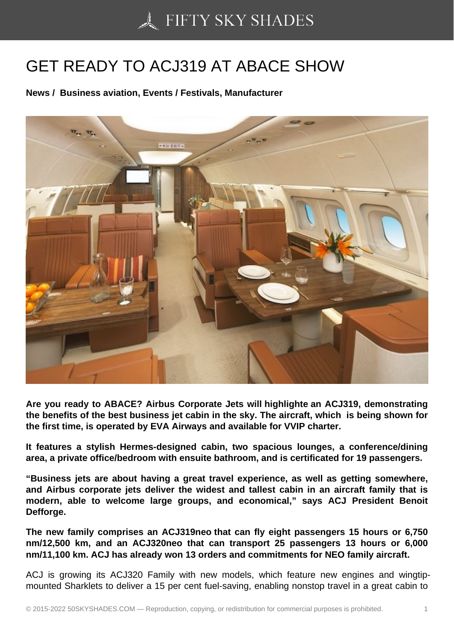## [GET READY TO ACJ3](https://50skyshades.com)19 AT ABACE SHOW

News / Business aviation, Events / Festivals, Manufacturer

Are you ready to ABACE? Airbus Corporate Jets will highlighte an ACJ319, demonstrating the benefits of the best business jet cabin in the sky. The aircraft, which is being shown for the first time, is operated by EVA Airways and available for VVIP charter.

It features a stylish Hermes-designed cabin, two spacious lounges, a conference/dining area, a private office/bedroom with ensuite bathroom, and is certificated for 19 passengers.

"Business jets are about having a great travel experience, as well as getting somewhere, and Airbus corporate jets deliver the widest and tallest cabin in an aircraft family that is modern, able to welcome large groups, and economical," says ACJ President Benoit Defforge.

The new family comprises an ACJ319neo that can fly eight passengers 15 hours or 6,750 nm/12,500 km, and an ACJ320neo that can transport 25 passengers 13 hours or 6,000 nm/11,100 km. ACJ has already won 13 orders and commitments for NEO family aircraft.

ACJ is growing its ACJ320 Family with new models, which feature new engines and wingtipmounted Sharklets to deliver a 15 per cent fuel-saving, enabling nonstop travel in a great cabin to